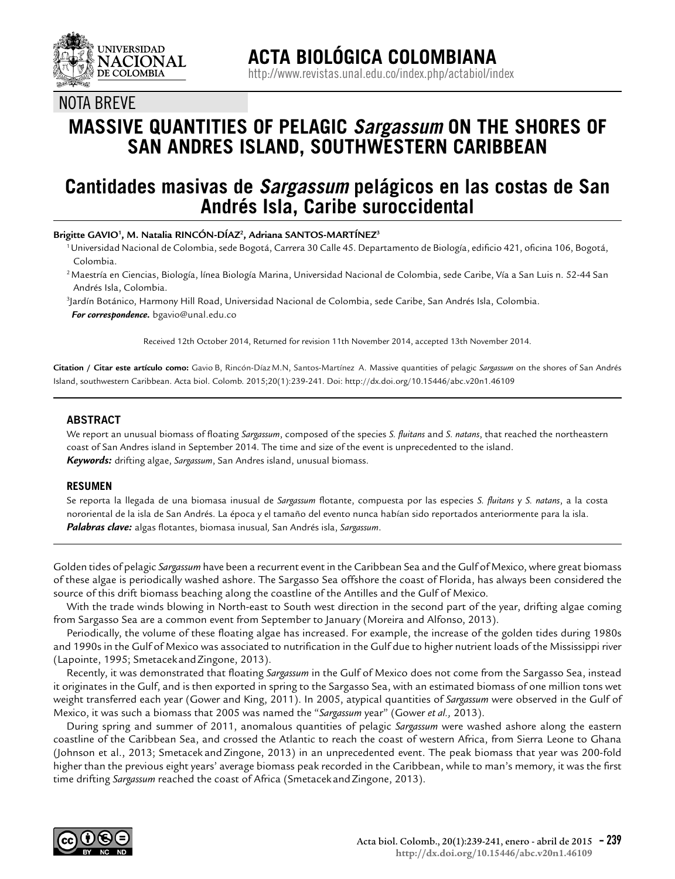

NOTA BREVE

# **MASSIVE QUANTITIES OF PELAGIC** *Sargassum* **ON THE SHORES OF SAN ANDRES ISLAND, SOUTHWESTERN CARIBBEAN**

# **Cantidades masivas de** *Sargassum* **pelágicos en las costas de San Andrés Isla, Caribe suroccidental**

**Brigitte GAVIO1 , M. Natalia RINCÓN-DÍAZ2 , Adriana SANTOS-MARTÍNEZ3**

- 1 Universidad Nacional de Colombia, sede Bogotá, Carrera 30 Calle 45. Departamento de Biología, edificio 421, oficina 106, Bogotá, Colombia.
- 2 Maestría en Ciencias, Biología, línea Biología Marina, Universidad Nacional de Colombia, sede Caribe, Vía a San Luis n. 52-44 San Andrés Isla, Colombia.
- 3 Jardín Botánico, Harmony Hill Road, Universidad Nacional de Colombia, sede Caribe, San Andrés Isla, Colombia.  *For correspondence.* bgavio@unal.edu.co

Received 12th October 2014, Returned for revision 11th November 2014, accepted 13th November 2014.

**Citation / Citar este artículo como:** Gavio B, Rincón-Díaz M.N, Santos-Martínez A. Massive quantities of pelagic *Sargassum* on the shores of San Andrés Island, southwestern Caribbean. Acta biol. Colomb. 2015;20(1):239-241. Doi: http://dx.doi.org/10.15446/abc.v20n1.46109

## **ABSTRACT**

We report an unusual biomass of floating *Sargassum*, composed of the species *S. fluitans* and *S. natans*, that reached the northeastern coast of San Andres island in September 2014. The time and size of the event is unprecedented to the island. *Keywords:* drifting algae, *Sargassum*, San Andres island, unusual biomass.

#### **RESUMEN**

Se reporta la llegada de una biomasa inusual de *Sargassum* flotante, compuesta por las especies *S. fluitans* y *S. natans*, a la costa nororiental de la isla de San Andrés. La época y el tamaño del evento nunca habían sido reportados anteriormente para la isla. *Palabras clave:* algas flotantes, biomasa inusual*,* San Andrés isla, *Sargassum*.

Golden tides of pelagic *Sargassum* have been a recurrent event in the Caribbean Sea and the Gulf of Mexico, where great biomass of these algae is periodically washed ashore. The Sargasso Sea offshore the coast of Florida, has always been considered the source of this drift biomass beaching along the coastline of the Antilles and the Gulf of Mexico.

With the trade winds blowing in North-east to South west direction in the second part of the year, drifting algae coming from Sargasso Sea are a common event from September to January (Moreira and Alfonso, 2013).

Periodically, the volume of these floating algae has increased. For example, the increase of the golden tides during 1980s and 1990s in the Gulf of Mexico was associated to nutrification in the Gulf due to higher nutrient loads of the Mississippi river (Lapointe, 1995; Smetacek and Zingone, 2013).

Recently, it was demonstrated that floating *Sargassum* in the Gulf of Mexico does not come from the Sargasso Sea, instead it originates in the Gulf, and is then exported in spring to the Sargasso Sea, with an estimated biomass of one million tons wet weight transferred each year (Gower and King, 2011). In 2005, atypical quantities of *Sargassum* were observed in the Gulf of Mexico, it was such a biomass that 2005 was named the "*Sargassum* year" (Gower *et al.,* 2013).

During spring and summer of 2011, anomalous quantities of pelagic *Sargassum* were washed ashore along the eastern coastline of the Caribbean Sea, and crossed the Atlantic to reach the coast of western Africa, from Sierra Leone to Ghana (Johnson et al., 2013; Smetacek and Zingone, 2013) in an unprecedented event. The peak biomass that year was 200-fold higher than the previous eight years' average biomass peak recorded in the Caribbean, while to man's memory, it was the first time drifting Sargassum reached the coast of Africa (Smetacek and Zingone, 2013).

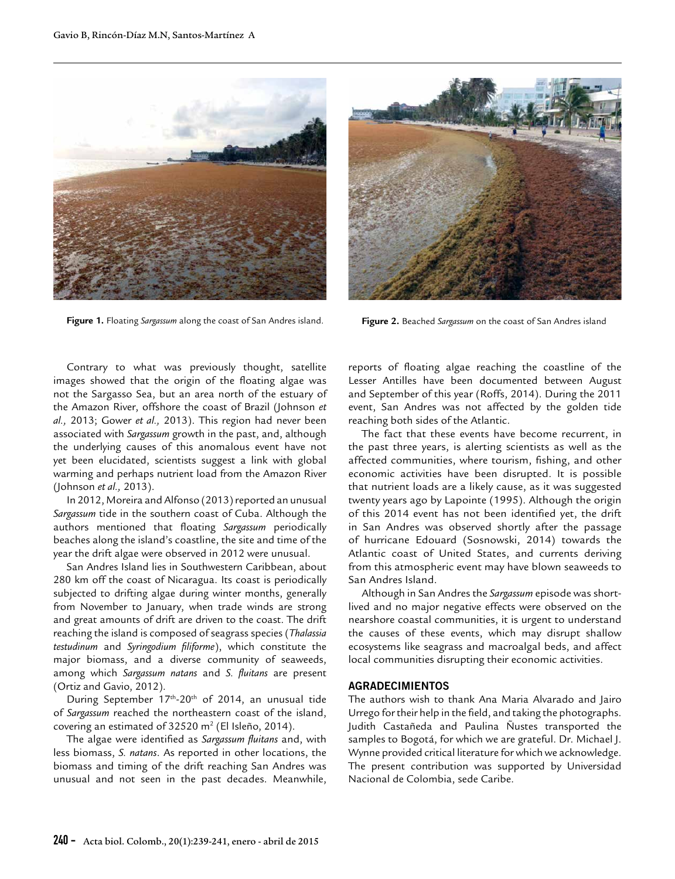

**Figure 1.** Floating *Sargassum* along the coast of San Andres island. **Figure 2.** Beached *Sargassum* on the coast of San Andres island



Contrary to what was previously thought, satellite images showed that the origin of the floating algae was not the Sargasso Sea, but an area north of the estuary of the Amazon River, offshore the coast of Brazil (Johnson *et al.,* 2013; Gower *et al.,* 2013). This region had never been associated with *Sargassum* growth in the past, and, although the underlying causes of this anomalous event have not yet been elucidated, scientists suggest a link with global warming and perhaps nutrient load from the Amazon River (Johnson *et al.,* 2013).

In 2012, Moreira and Alfonso (2013) reported an unusual *Sargassum* tide in the southern coast of Cuba. Although the authors mentioned that floating *Sargassum* periodically beaches along the island's coastline, the site and time of the year the drift algae were observed in 2012 were unusual.

San Andres Island lies in Southwestern Caribbean, about 280 km off the coast of Nicaragua. Its coast is periodically subjected to drifting algae during winter months, generally from November to January, when trade winds are strong and great amounts of drift are driven to the coast. The drift reaching the island is composed of seagrass species (*Thalassia testudinum* and *Syringodium filiforme*), which constitute the major biomass, and a diverse community of seaweeds, among which *Sargassum natans* and *S. fluitans* are present (Ortiz and Gavio, 2012).

During September  $17<sup>th</sup> - 20<sup>th</sup>$  of 2014, an unusual tide of *Sargassum* reached the northeastern coast of the island, covering an estimated of 32520 m<sup>2</sup> (El Isleño, 2014).

The algae were identified as *Sargassum fluitans* and, with less biomass, *S. natans*. As reported in other locations, the biomass and timing of the drift reaching San Andres was unusual and not seen in the past decades. Meanwhile,

reports of floating algae reaching the coastline of the Lesser Antilles have been documented between August and September of this year (Roffs, 2014). During the 2011 event, San Andres was not affected by the golden tide reaching both sides of the Atlantic.

The fact that these events have become recurrent, in the past three years, is alerting scientists as well as the affected communities, where tourism, fishing, and other economic activities have been disrupted. It is possible that nutrient loads are a likely cause, as it was suggested twenty years ago by Lapointe (1995). Although the origin of this 2014 event has not been identified yet, the drift in San Andres was observed shortly after the passage of hurricane Edouard (Sosnowski, 2014) towards the Atlantic coast of United States, and currents deriving from this atmospheric event may have blown seaweeds to San Andres Island.

Although in San Andres the *Sargassum* episode was shortlived and no major negative effects were observed on the nearshore coastal communities, it is urgent to understand the causes of these events, which may disrupt shallow ecosystems like seagrass and macroalgal beds, and affect local communities disrupting their economic activities.

## **AGRADECIMIENTOS**

The authors wish to thank Ana Maria Alvarado and Jairo Urrego for their help in the field, and taking the photographs. Judith Castañeda and Paulina Ñustes transported the samples to Bogotá, for which we are grateful. Dr. Michael J. Wynne provided critical literature for which we acknowledge. The present contribution was supported by Universidad Nacional de Colombia, sede Caribe.